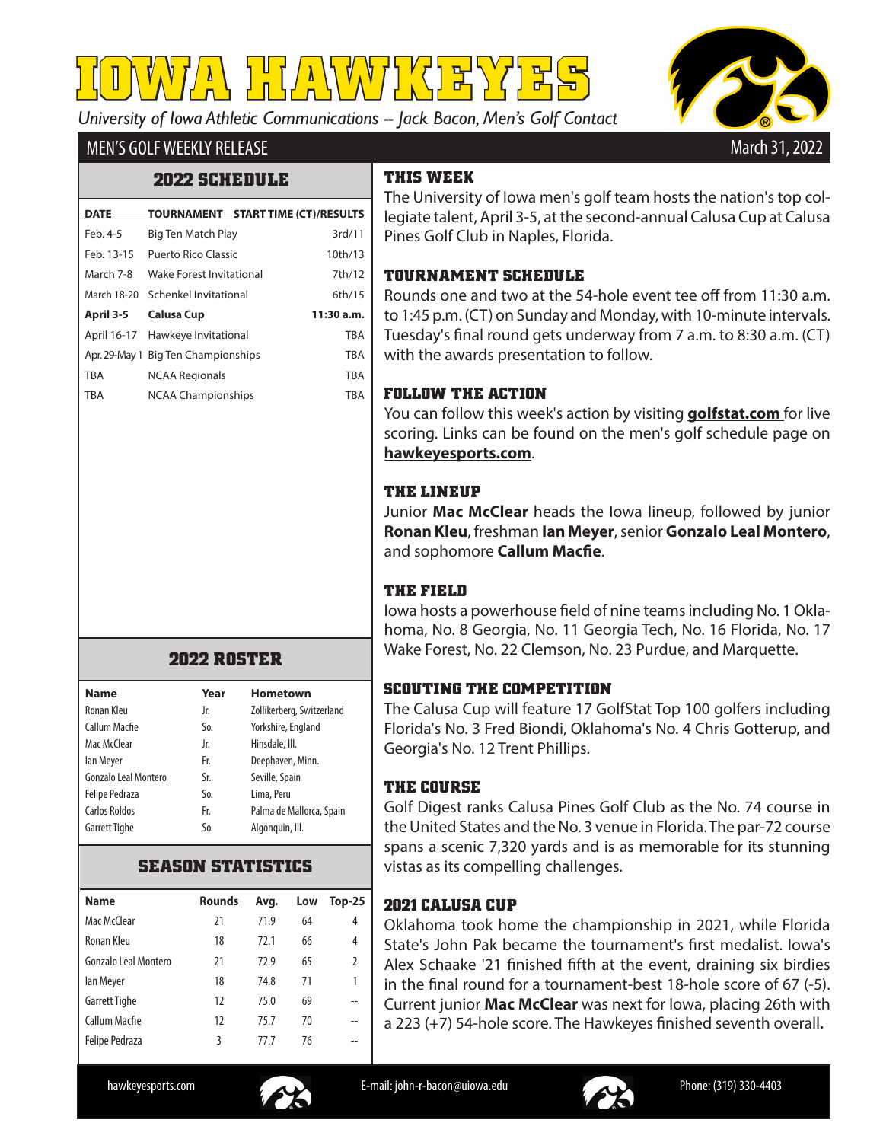*University of Iowa Athletic Communications -- Jack Bacon, Men's Golf Contact* **IOWA HAWKEYES**



# MEN'S GOLF WEEKLY RELEASE

### **2022 SCHEDULE**

| <b>DATE</b> |                                     | TOURNAMENT START TIME (CT)/RESULTS |
|-------------|-------------------------------------|------------------------------------|
| Feb. 4-5    | Big Ten Match Play                  | 3rd/11                             |
| Feb. 13-15  | Puerto Rico Classic                 | 10th/13                            |
| March 7-8   | Wake Forest Invitational            | 7th/12                             |
|             | March 18-20 Schenkel Invitational   | 6th/15                             |
|             | <b>Calusa Cup</b>                   |                                    |
| April 3-5   |                                     | 11:30 a.m.                         |
|             | April 16-17 Hawkeye Invitational    | <b>TBA</b>                         |
|             | Apr. 29-May 1 Big Ten Championships | <b>TBA</b>                         |
| <b>TBA</b>  | <b>NCAA Regionals</b>               | <b>TBA</b>                         |
| <b>TBA</b>  | <b>NCAA Championships</b>           | <b>TBA</b>                         |

### **2022 ROSTER**

| <b>Name</b>           | Year | Hometown                  |
|-----------------------|------|---------------------------|
| Ronan Kleu            | Jr.  | Zollikerberg, Switzerland |
| Callum Macfie         | So.  | Yorkshire, England        |
| Mac McClear           | Jr.  | Hinsdale, III.            |
| lan Meyer             | Fr.  | Deephaven, Minn.          |
| Gonzalo Leal Montero  | Sr.  | Seville, Spain            |
| <b>Felipe Pedraza</b> | So.  | Lima, Peru                |
| Carlos Roldos         | Fr.  | Palma de Mallorca, Spain  |
| <b>Garrett Tighe</b>  | So.  | Algonguin, Ill.           |

### **SEASON STATISTICS**

| <b>Name</b>           | <b>Rounds</b> | Avg. | Low | $Top-25$ |
|-----------------------|---------------|------|-----|----------|
| Mac McClear           | 21            | 71.9 | 64  | 4        |
| Ronan Kleu            | 18            | 72.1 | 66  | 4        |
| Gonzalo Leal Montero  | 21            | 72.9 | 65  | 2        |
| lan Meyer             | 18            | 74.8 | 71  | 1        |
| <b>Garrett Tighe</b>  | 12            | 75.0 | 69  |          |
| Callum Macfie         | 12            | 75.7 | 70  | --       |
| <b>Felipe Pedraza</b> | 3             | 77 7 | 76  |          |
|                       |               |      |     |          |

# **THIS WEEK**

The University of Iowa men's golf team hosts the nation's top collegiate talent, April 3-5, at the second-annual Calusa Cup at Calusa Pines Golf Club in Naples, Florida.

#### **TOURNAMENT SCHEDULE**

Rounds one and two at the 54-hole event tee off from 11:30 a.m. to 1:45 p.m. (CT) on Sunday and Monday, with 10-minute intervals. Tuesday's final round gets underway from 7 a.m. to 8:30 a.m. (CT) with the awards presentation to follow.

### **FOLLOW THE ACTION**

You can follow this week's action by visiting **golfstat.com** for live scoring. Links can be found on the men's golf schedule page on **hawkeyesports.com**.

# **THE LINEUP**

Junior **Mac McClear** heads the Iowa lineup, followed by junior **Ronan Kleu**, freshman **Ian Meyer**, senior **Gonzalo Leal Montero**, and sophomore **Callum Macfie**.

# **THE FIELD**

Iowa hosts a powerhouse field of nine teams including No. 1 Oklahoma, No. 8 Georgia, No. 11 Georgia Tech, No. 16 Florida, No. 17 Wake Forest, No. 22 Clemson, No. 23 Purdue, and Marquette.

### **SCOUTING THE COMPETITION**

The Calusa Cup will feature 17 GolfStat Top 100 golfers including Florida's No. 3 Fred Biondi, Oklahoma's No. 4 Chris Gotterup, and Georgia's No. 12 Trent Phillips.

# **THE COURSE**

Golf Digest ranks Calusa Pines Golf Club as the No. 74 course in the United States and the No. 3 venue in Florida. The par-72 course spans a scenic 7,320 yards and is as memorable for its stunning vistas as its compelling challenges.

# **2021 CALUSA CUP**

Oklahoma took home the championship in 2021, while Florida State's John Pak became the tournament's first medalist. Iowa's Alex Schaake '21 finished fifth at the event, draining six birdies in the final round for a tournament-best 18-hole score of 67 (-5). Current junior **Mac McClear** was next for Iowa, placing 26th with a 223 (+7) 54-hole score. The Hawkeyes finished seventh overall**.**